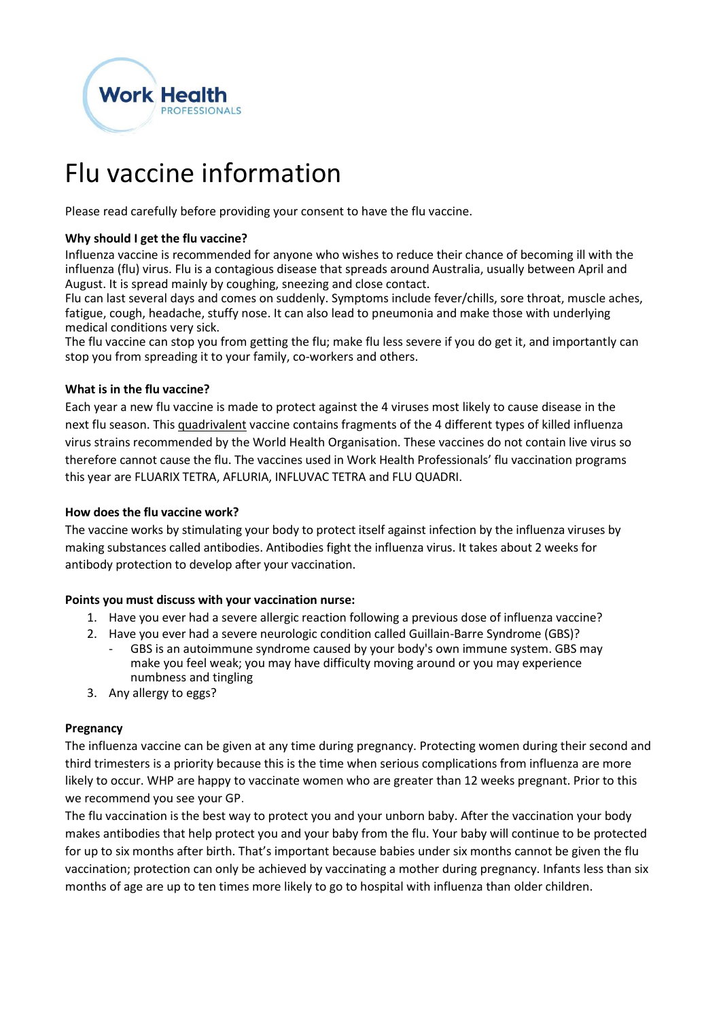

# Flu vaccine information

Please read carefully before providing your consent to have the flu vaccine.

## **Why should I get the flu vaccine?**

Influenza vaccine is recommended for anyone who wishes to reduce their chance of becoming ill with the influenza (flu) virus. Flu is a contagious disease that spreads around Australia, usually between April and August. It is spread mainly by coughing, sneezing and close contact.

Flu can last several days and comes on suddenly. Symptoms include fever/chills, sore throat, muscle aches, fatigue, cough, headache, stuffy nose. It can also lead to pneumonia and make those with underlying medical conditions very sick.

The flu vaccine can stop you from getting the flu; make flu less severe if you do get it, and importantly can stop you from spreading it to your family, co-workers and others.

### **What is in the flu vaccine?**

Each year a new flu vaccine is made to protect against the 4 viruses most likely to cause disease in the next flu season. This quadrivalent vaccine contains fragments of the 4 different types of killed influenza virus strains recommended by the World Health Organisation. These vaccines do not contain live virus so therefore cannot cause the flu. The vaccines used in Work Health Professionals' flu vaccination programs this year are FLUARIX TETRA, AFLURIA, INFLUVAC TETRA and FLU QUADRI.

#### **How does the flu vaccine work?**

The vaccine works by stimulating your body to protect itself against infection by the influenza viruses by making substances called antibodies. Antibodies fight the influenza virus. It takes about 2 weeks for antibody protection to develop after your vaccination.

#### **Points you must discuss with your vaccination nurse:**

- 1. Have you ever had a severe allergic reaction following a previous dose of influenza vaccine?
- 2. Have you ever had a severe neurologic condition called Guillain-Barre Syndrome (GBS)?
	- GBS is an autoimmune syndrome caused by your body's own immune system. GBS may make you feel weak; you may have difficulty moving around or you may experience numbness and tingling
- 3. Any allergy to eggs?

#### **Pregnancy**

The influenza vaccine can be given at any time during pregnancy. Protecting women during their second and third trimesters is a priority because this is the time when serious complications from influenza are more likely to occur. WHP are happy to vaccinate women who are greater than 12 weeks pregnant. Prior to this we recommend you see your GP.

The flu vaccination is the best way to protect you and your unborn baby. After the vaccination your body makes antibodies that help protect you and your baby from the flu. Your baby will continue to be protected for up to six months after birth. That's important because babies under six months cannot be given the flu vaccination; protection can only be achieved by vaccinating a mother during pregnancy. Infants less than six months of age are up to ten times more likely to go to hospital with influenza than older children.